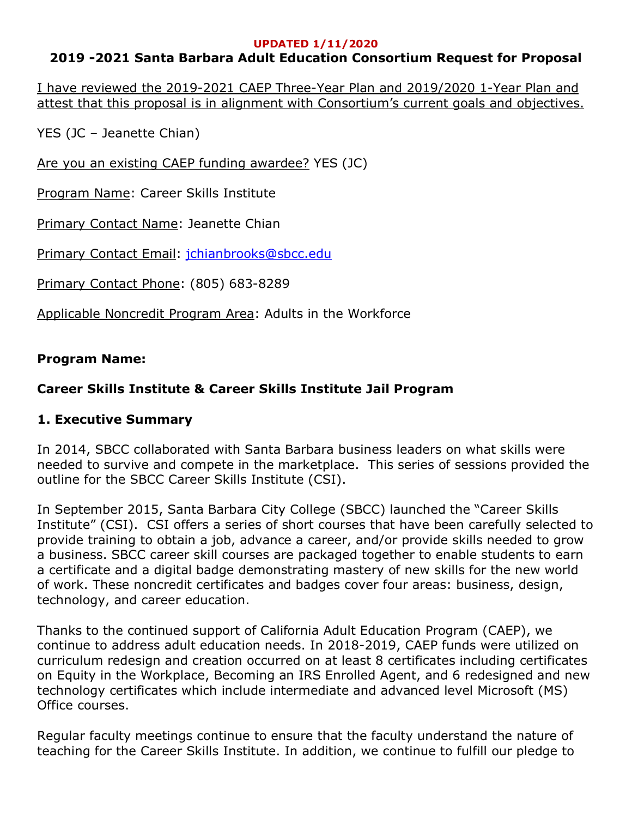#### **UPDATED 1/11/2020**

# **2019 -2021 Santa Barbara Adult Education Consortium Request for Proposal**

I have reviewed the 2019-2021 CAEP Three-Year Plan and 2019/2020 1-Year Plan and attest that this proposal is in alignment with Consortium's current goals and objectives.

YES (JC – Jeanette Chian)

Are you an existing CAEP funding awardee? YES (JC)

Program Name: Career Skills Institute

**Primary Contact Name: Jeanette Chian** 

Primary Contact Email: jchianbrooks@sbcc.edu

Primary Contact Phone: (805) 683-8289

Applicable Noncredit Program Area: Adults in the Workforce

# **Program Name:**

# **Career Skills Institute & Career Skills Institute Jail Program**

## **1. Executive Summary**

In 2014, SBCC collaborated with Santa Barbara business leaders on what skills were needed to survive and compete in the marketplace. This series of sessions provided the outline for the SBCC Career Skills Institute (CSI).

In September 2015, Santa Barbara City College (SBCC) launched the "Career Skills Institute" (CSI). CSI offers a series of short courses that have been carefully selected to provide training to obtain a job, advance a career, and/or provide skills needed to grow a business. SBCC career skill courses are packaged together to enable students to earn a certificate and a digital badge demonstrating mastery of new skills for the new world of work. These noncredit certificates and badges cover four areas: business, design, technology, and career education.

Thanks to the continued support of California Adult Education Program (CAEP), we continue to address adult education needs. In 2018-2019, CAEP funds were utilized on curriculum redesign and creation occurred on at least 8 certificates including certificates on Equity in the Workplace, Becoming an IRS Enrolled Agent, and 6 redesigned and new technology certificates which include intermediate and advanced level Microsoft (MS) Office courses.

Regular faculty meetings continue to ensure that the faculty understand the nature of teaching for the Career Skills Institute. In addition, we continue to fulfill our pledge to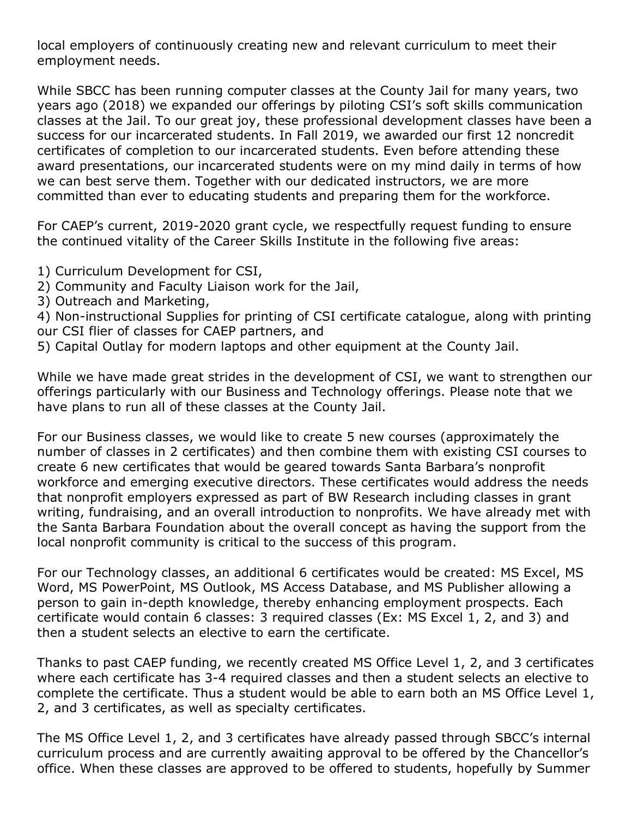local employers of continuously creating new and relevant curriculum to meet their employment needs.

While SBCC has been running computer classes at the County Jail for many years, two years ago (2018) we expanded our offerings by piloting CSI's soft skills communication classes at the Jail. To our great joy, these professional development classes have been a success for our incarcerated students. In Fall 2019, we awarded our first 12 noncredit certificates of completion to our incarcerated students. Even before attending these award presentations, our incarcerated students were on my mind daily in terms of how we can best serve them. Together with our dedicated instructors, we are more committed than ever to educating students and preparing them for the workforce.

For CAEP's current, 2019-2020 grant cycle, we respectfully request funding to ensure the continued vitality of the Career Skills Institute in the following five areas:

- 1) Curriculum Development for CSI,
- 2) Community and Faculty Liaison work for the Jail,
- 3) Outreach and Marketing,

4) Non-instructional Supplies for printing of CSI certificate catalogue, along with printing our CSI flier of classes for CAEP partners, and

5) Capital Outlay for modern laptops and other equipment at the County Jail.

While we have made great strides in the development of CSI, we want to strengthen our offerings particularly with our Business and Technology offerings. Please note that we have plans to run all of these classes at the County Jail.

For our Business classes, we would like to create 5 new courses (approximately the number of classes in 2 certificates) and then combine them with existing CSI courses to create 6 new certificates that would be geared towards Santa Barbara's nonprofit workforce and emerging executive directors. These certificates would address the needs that nonprofit employers expressed as part of BW Research including classes in grant writing, fundraising, and an overall introduction to nonprofits. We have already met with the Santa Barbara Foundation about the overall concept as having the support from the local nonprofit community is critical to the success of this program.

For our Technology classes, an additional 6 certificates would be created: MS Excel, MS Word, MS PowerPoint, MS Outlook, MS Access Database, and MS Publisher allowing a person to gain in-depth knowledge, thereby enhancing employment prospects. Each certificate would contain 6 classes: 3 required classes (Ex: MS Excel 1, 2, and 3) and then a student selects an elective to earn the certificate.

Thanks to past CAEP funding, we recently created MS Office Level 1, 2, and 3 certificates where each certificate has 3-4 required classes and then a student selects an elective to complete the certificate. Thus a student would be able to earn both an MS Office Level 1, 2, and 3 certificates, as well as specialty certificates.

The MS Office Level 1, 2, and 3 certificates have already passed through SBCC's internal curriculum process and are currently awaiting approval to be offered by the Chancellor's office. When these classes are approved to be offered to students, hopefully by Summer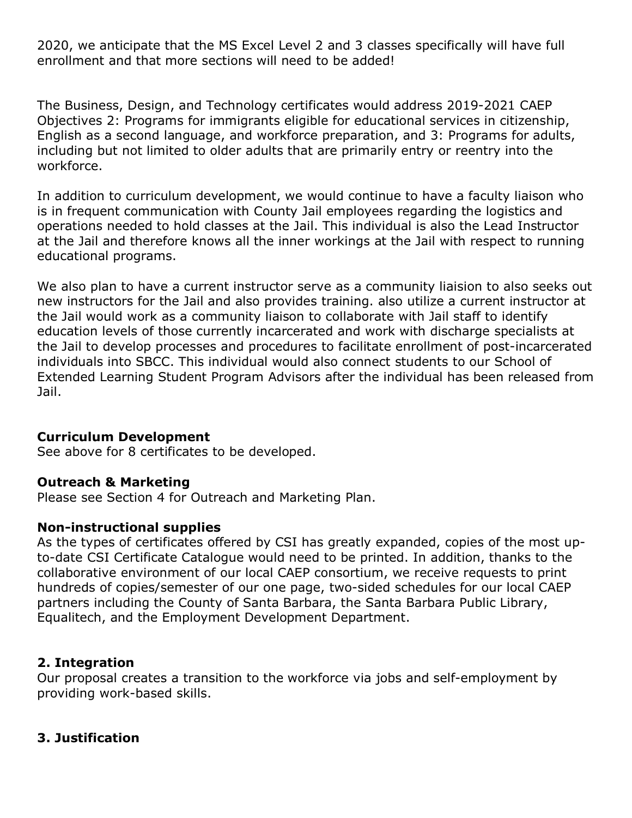2020, we anticipate that the MS Excel Level 2 and 3 classes specifically will have full enrollment and that more sections will need to be added!

The Business, Design, and Technology certificates would address 2019-2021 CAEP Objectives 2: Programs for immigrants eligible for educational services in citizenship, English as a second language, and workforce preparation, and 3: Programs for adults, including but not limited to older adults that are primarily entry or reentry into the workforce.

In addition to curriculum development, we would continue to have a faculty liaison who is in frequent communication with County Jail employees regarding the logistics and operations needed to hold classes at the Jail. This individual is also the Lead Instructor at the Jail and therefore knows all the inner workings at the Jail with respect to running educational programs.

We also plan to have a current instructor serve as a community liaision to also seeks out new instructors for the Jail and also provides training. also utilize a current instructor at the Jail would work as a community liaison to collaborate with Jail staff to identify education levels of those currently incarcerated and work with discharge specialists at the Jail to develop processes and procedures to facilitate enrollment of post-incarcerated individuals into SBCC. This individual would also connect students to our School of Extended Learning Student Program Advisors after the individual has been released from Jail.

#### **Curriculum Development**

See above for 8 certificates to be developed.

#### **Outreach & Marketing**

Please see Section 4 for Outreach and Marketing Plan.

## **Non-instructional supplies**

As the types of certificates offered by CSI has greatly expanded, copies of the most upto-date CSI Certificate Catalogue would need to be printed. In addition, thanks to the collaborative environment of our local CAEP consortium, we receive requests to print hundreds of copies/semester of our one page, two-sided schedules for our local CAEP partners including the County of Santa Barbara, the Santa Barbara Public Library, Equalitech, and the Employment Development Department.

## **2. Integration**

Our proposal creates a transition to the workforce via jobs and self-employment by providing work-based skills.

## **3. Justification**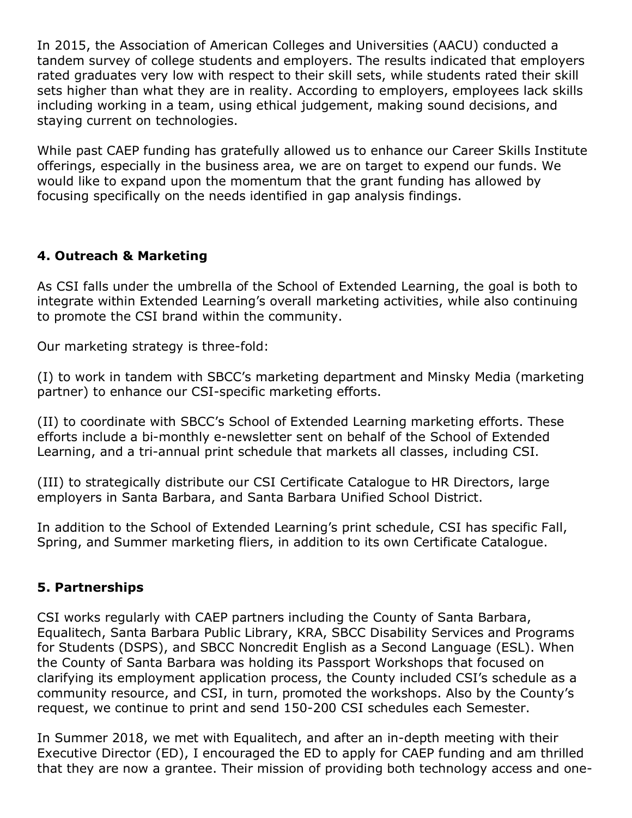In 2015, the Association of American Colleges and Universities (AACU) conducted a tandem survey of college students and employers. The results indicated that employers rated graduates very low with respect to their skill sets, while students rated their skill sets higher than what they are in reality. According to employers, employees lack skills including working in a team, using ethical judgement, making sound decisions, and staying current on technologies.

While past CAEP funding has gratefully allowed us to enhance our Career Skills Institute offerings, especially in the business area, we are on target to expend our funds. We would like to expand upon the momentum that the grant funding has allowed by focusing specifically on the needs identified in gap analysis findings.

# **4. Outreach & Marketing**

As CSI falls under the umbrella of the School of Extended Learning, the goal is both to integrate within Extended Learning's overall marketing activities, while also continuing to promote the CSI brand within the community.

Our marketing strategy is three-fold:

(I) to work in tandem with SBCC's marketing department and Minsky Media (marketing partner) to enhance our CSI-specific marketing efforts.

(II) to coordinate with SBCC's School of Extended Learning marketing efforts. These efforts include a bi-monthly e-newsletter sent on behalf of the School of Extended Learning, and a tri-annual print schedule that markets all classes, including CSI.

(III) to strategically distribute our CSI Certificate Catalogue to HR Directors, large employers in Santa Barbara, and Santa Barbara Unified School District.

In addition to the School of Extended Learning's print schedule, CSI has specific Fall, Spring, and Summer marketing fliers, in addition to its own Certificate Catalogue.

## **5. Partnerships**

CSI works regularly with CAEP partners including the County of Santa Barbara, Equalitech, Santa Barbara Public Library, KRA, SBCC Disability Services and Programs for Students (DSPS), and SBCC Noncredit English as a Second Language (ESL). When the County of Santa Barbara was holding its Passport Workshops that focused on clarifying its employment application process, the County included CSI's schedule as a community resource, and CSI, in turn, promoted the workshops. Also by the County's request, we continue to print and send 150-200 CSI schedules each Semester.

In Summer 2018, we met with Equalitech, and after an in-depth meeting with their Executive Director (ED), I encouraged the ED to apply for CAEP funding and am thrilled that they are now a grantee. Their mission of providing both technology access and one-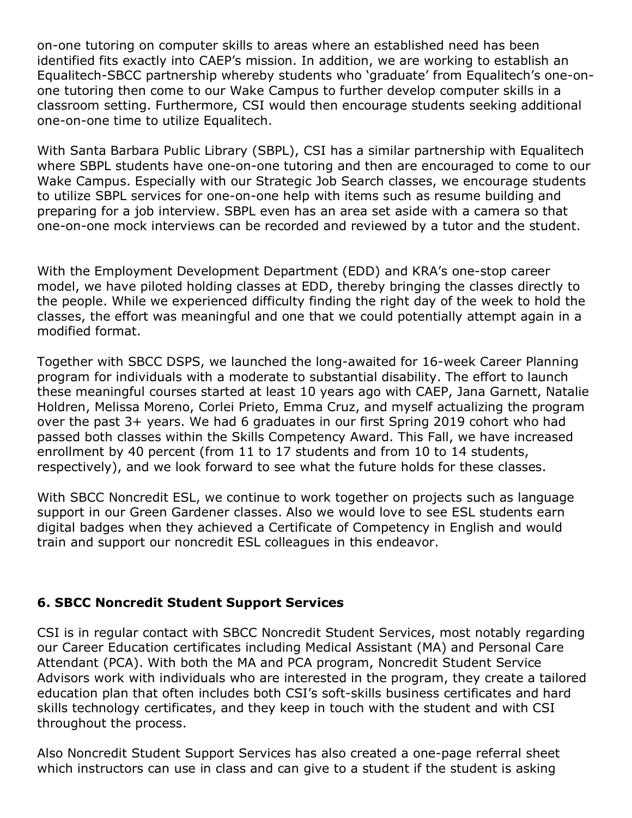on-one tutoring on computer skills to areas where an established need has been identified fits exactly into CAEP's mission. In addition, we are working to establish an Equalitech-SBCC partnership whereby students who 'graduate' from Equalitech's one-onone tutoring then come to our Wake Campus to further develop computer skills in a classroom setting. Furthermore, CSI would then encourage students seeking additional one-on-one time to utilize Equalitech.

With Santa Barbara Public Library (SBPL), CSI has a similar partnership with Equalitech where SBPL students have one-on-one tutoring and then are encouraged to come to our Wake Campus. Especially with our Strategic Job Search classes, we encourage students to utilize SBPL services for one-on-one help with items such as resume building and preparing for a job interview. SBPL even has an area set aside with a camera so that one-on-one mock interviews can be recorded and reviewed by a tutor and the student.

With the Employment Development Department (EDD) and KRA's one-stop career model, we have piloted holding classes at EDD, thereby bringing the classes directly to the people. While we experienced difficulty finding the right day of the week to hold the classes, the effort was meaningful and one that we could potentially attempt again in a modified format.

Together with SBCC DSPS, we launched the long-awaited for 16-week Career Planning program for individuals with a moderate to substantial disability. The effort to launch these meaningful courses started at least 10 years ago with CAEP, Jana Garnett, Natalie Holdren, Melissa Moreno, Corlei Prieto, Emma Cruz, and myself actualizing the program over the past 3+ years. We had 6 graduates in our first Spring 2019 cohort who had passed both classes within the Skills Competency Award. This Fall, we have increased enrollment by 40 percent (from 11 to 17 students and from 10 to 14 students, respectively), and we look forward to see what the future holds for these classes.

With SBCC Noncredit ESL, we continue to work together on projects such as language support in our Green Gardener classes. Also we would love to see ESL students earn digital badges when they achieved a Certificate of Competency in English and would train and support our noncredit ESL colleagues in this endeavor.

## **6. SBCC Noncredit Student Support Services**

CSI is in regular contact with SBCC Noncredit Student Services, most notably regarding our Career Education certificates including Medical Assistant (MA) and Personal Care Attendant (PCA). With both the MA and PCA program, Noncredit Student Service Advisors work with individuals who are interested in the program, they create a tailored education plan that often includes both CSI's soft-skills business certificates and hard skills technology certificates, and they keep in touch with the student and with CSI throughout the process.

Also Noncredit Student Support Services has also created a one-page referral sheet which instructors can use in class and can give to a student if the student is asking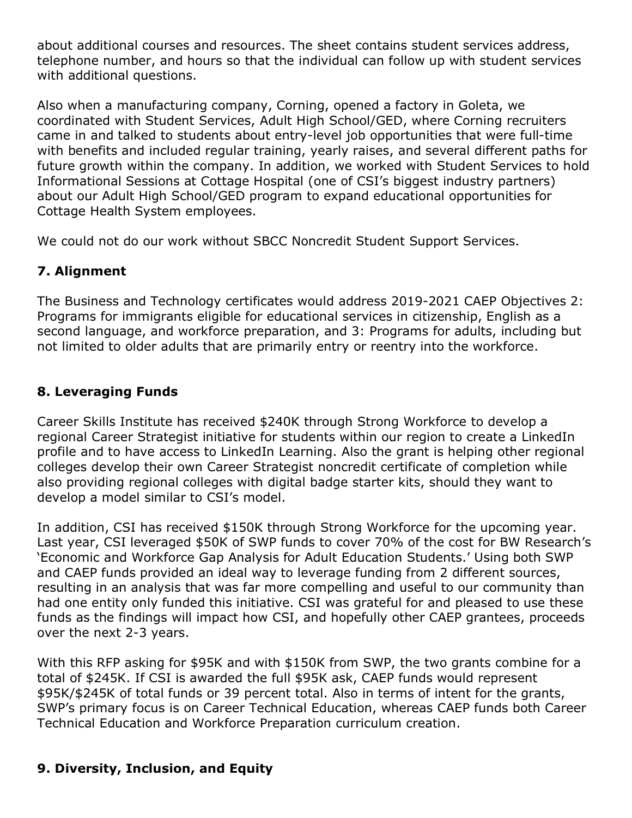about additional courses and resources. The sheet contains student services address, telephone number, and hours so that the individual can follow up with student services with additional questions.

Also when a manufacturing company, Corning, opened a factory in Goleta, we coordinated with Student Services, Adult High School/GED, where Corning recruiters came in and talked to students about entry-level job opportunities that were full-time with benefits and included regular training, yearly raises, and several different paths for future growth within the company. In addition, we worked with Student Services to hold Informational Sessions at Cottage Hospital (one of CSI's biggest industry partners) about our Adult High School/GED program to expand educational opportunities for Cottage Health System employees.

We could not do our work without SBCC Noncredit Student Support Services.

# **7. Alignment**

The Business and Technology certificates would address 2019-2021 CAEP Objectives 2: Programs for immigrants eligible for educational services in citizenship, English as a second language, and workforce preparation, and 3: Programs for adults, including but not limited to older adults that are primarily entry or reentry into the workforce.

# **8. Leveraging Funds**

Career Skills Institute has received \$240K through Strong Workforce to develop a regional Career Strategist initiative for students within our region to create a LinkedIn profile and to have access to LinkedIn Learning. Also the grant is helping other regional colleges develop their own Career Strategist noncredit certificate of completion while also providing regional colleges with digital badge starter kits, should they want to develop a model similar to CSI's model.

In addition, CSI has received \$150K through Strong Workforce for the upcoming year. Last year, CSI leveraged \$50K of SWP funds to cover 70% of the cost for BW Research's 'Economic and Workforce Gap Analysis for Adult Education Students.' Using both SWP and CAEP funds provided an ideal way to leverage funding from 2 different sources, resulting in an analysis that was far more compelling and useful to our community than had one entity only funded this initiative. CSI was grateful for and pleased to use these funds as the findings will impact how CSI, and hopefully other CAEP grantees, proceeds over the next 2-3 years.

With this RFP asking for \$95K and with \$150K from SWP, the two grants combine for a total of \$245K. If CSI is awarded the full \$95K ask, CAEP funds would represent \$95K/\$245K of total funds or 39 percent total. Also in terms of intent for the grants, SWP's primary focus is on Career Technical Education, whereas CAEP funds both Career Technical Education and Workforce Preparation curriculum creation.

## **9. Diversity, Inclusion, and Equity**